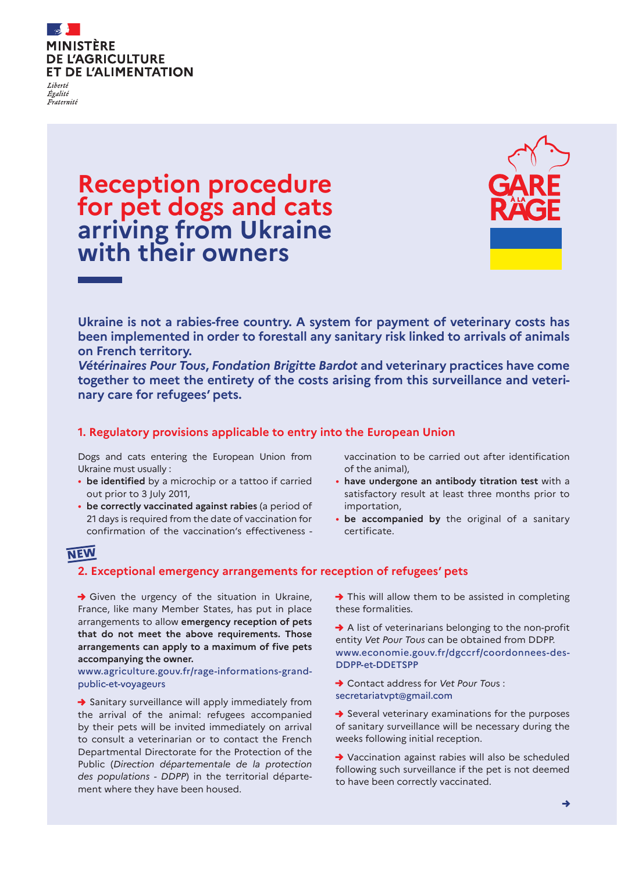

Égalité Fraternité

## **Reception procedure for pet dogs and cats arriving from Ukraine with their owners**



**Ukraine is not a rabies-free country. A system for payment of veterinary costs has been implemented in order to forestall any sanitary risk linked to arrivals of animals on French territory.**

*Vétérinaires Pour Tous***,** *Fondation Brigitte Bardot* **and veterinary practices have come together to meet the entirety of the costs arising from this surveillance and veterinary care for refugees' pets.**

#### **1. Regulatory provisions applicable to entry into the European Union**

Dogs and cats entering the European Union from Ukraine must usually :

- **be identified** by a microchip or a tattoo if carried out prior to 3 July 2011,
- **be correctly vaccinated against rabies** (a period of 21 days is required from the date of vaccination for confirmation of the vaccination's effectiveness -

vaccination to be carried out after identification of the animal),

- **have undergone an antibody titration test** with a satisfactory result at least three months prior to importation,
- **be accompanied by** the original of a sanitary certificate.

### **NEW**

#### **2. Exceptional emergency arrangements for reception of refugees' pets**

 $\rightarrow$  Given the urgency of the situation in Ukraine, France, like many Member States, has put in place arrangements to allow **emergency reception of pets that do not meet the above requirements. Those arrangements can apply to a maximum of five pets accompanying the owner.**

www.agriculture.gouv.fr/rage-informations-grandpublic-et-voyageurs

→ Sanitary surveillance will apply immediately from the arrival of the animal: refugees accompanied by their pets will be invited immediately on arrival to consult a veterinarian or to contact the French Departmental Directorate for the Protection of the Public (*Direction départementale de la protection des populations - DDPP*) in the territorial département where they have been housed.

 $\rightarrow$  This will allow them to be assisted in completing these formalities.

→ A list of veterinarians belonging to the non-profit entity *Vet Pour Tous* can be obtained from DDPP. www.economie.gouv.fr/dgccrf/coordonnees-des-DDPP-et-DDETSPP

- → Contact address for *Vet Pour Tou*s : secretariatvpt@gmail.com
- $\rightarrow$  Several veterinary examinations for the purposes of sanitary surveillance will be necessary during the weeks following initial reception.
- → Vaccination against rabies will also be scheduled following such surveillance if the pet is not deemed to have been correctly vaccinated.